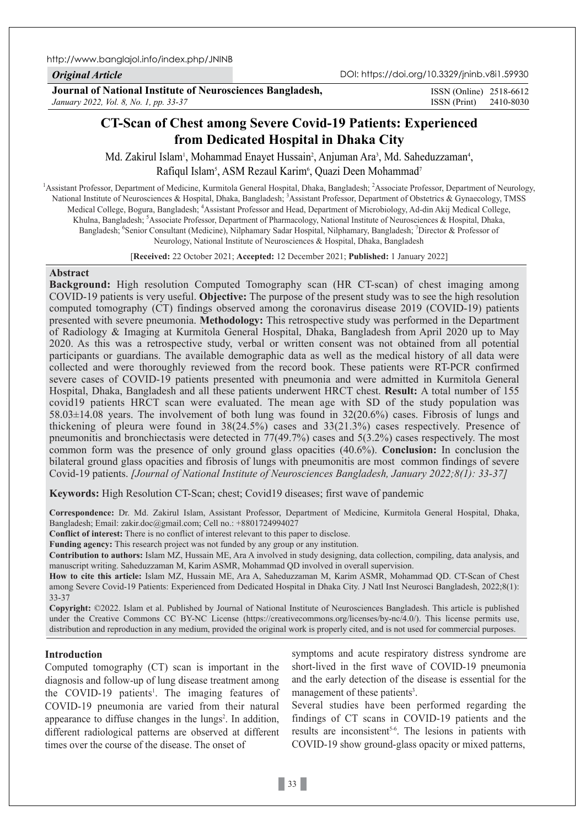http://www.banglajol.info/index.php/JNINB

*Original Article*

DOI: https://doi.org/10.3329/jninb.v8i1.59930

**Journal of National Institute of Neurosciences Bangladesh,** *January 2022, Vol. 8, No. 1, pp. 33-37*

ISSN (Print) 2410-8030 ISSN (Online) 2518-6612

# **CT-Scan of Chest among Severe Covid-19 Patients: Experienced from Dedicated Hospital in Dhaka City**

Md. Zakirul Islam', Mohammad Enayet Hussain<sup>2</sup>, Anjuman Ara<sup>3</sup>, Md. Saheduzzaman<sup>4</sup>, Rafiqul Islam<sup>5</sup>, ASM Rezaul Karim<sup>6</sup>, Quazi Deen Mohammad<sup>7</sup>

<sup>1</sup> Assistant Professor, Department of Medicine, Kurmitola General Hospital, Dhaka, Bangladesh; <sup>2</sup> Associate Professor, Department of Neurology, National Institute of Neurosciences & Hospital, Dhaka, Bangladesh; 3Assistant Professor, Department of Obstetrics & Gynaecology, TMSS Medical College, Bogura, Bangladesh; <sup>4</sup>Assistant Professor and Head, Department of Microbiology, Ad-din Akij Medical College, Khulna, Bangladesh; <sup>5</sup>Associate Professor, Department of Pharmacology, National Institute of Neurosciences & Hospital, Dhaka, Bangladesh; <sup>6</sup>Senior Consultant (Medicine), Nilphamary Sadar Hospital, Nilphamary, Bangladesh; <sup>7</sup>Director & Professor of Neurology, National Institute of Neurosciences & Hospital, Dhaka, Bangladesh

[**Received:** 22 October 2021; **Accepted:** 12 December 2021; **Published:** 1 January 2022]

## **Abstract**

**Background:** High resolution Computed Tomography scan (HR CT-scan) of chest imaging among COVID-19 patients is very useful. **Objective:** The purpose of the present study was to see the high resolution computed tomography (CT) findings observed among the coronavirus disease 2019 (COVID-19) patients presented with severe pneumonia. **Methodology:** This retrospective study was performed in the Department of Radiology & Imaging at Kurmitola General Hospital, Dhaka, Bangladesh from April 2020 up to May 2020. As this was a retrospective study, verbal or written consent was not obtained from all potential participants or guardians. The available demographic data as well as the medical history of all data were collected and were thoroughly reviewed from the record book. These patients were RT-PCR confirmed severe cases of COVID-19 patients presented with pneumonia and were admitted in Kurmitola General Hospital, Dhaka, Bangladesh and all these patients underwent HRCT chest. **Result:** A total number of 155 covid19 patients HRCT scan were evaluated. The mean age with SD of the study population was 58.03±14.08 years. The involvement of both lung was found in 32(20.6%) cases. Fibrosis of lungs and thickening of pleura were found in 38(24.5%) cases and 33(21.3%) cases respectively. Presence of pneumonitis and bronchiectasis were detected in 77(49.7%) cases and 5(3.2%) cases respectively. The most common form was the presence of only ground glass opacities (40.6%). **Conclusion:** In conclusion the bilateral ground glass opacities and fibrosis of lungs with pneumonitis are most common findings of severe Covid-19 patients. *[Journal of National Institute of Neurosciences Bangladesh, January 2022;8(1): 33-37]*

**Keywords:** High Resolution CT-Scan; chest; Covid19 diseases; first wave of pandemic

**Correspondence:** Dr. Md. Zakirul Islam, Assistant Professor, Department of Medicine, Kurmitola General Hospital, Dhaka, Bangladesh; Email: zakir.doc@gmail.com; Cell no.: +8801724994027

**Conflict of interest:** There is no conflict of interest relevant to this paper to disclose.

**Funding agency:** This research project was not funded by any group or any institution.

**Contribution to authors:** Islam MZ, Hussain ME, Ara A involved in study designing, data collection, compiling, data analysis, and manuscript writing. Saheduzzaman M, Karim ASMR, Mohammad QD involved in overall supervision.

**How to cite this article:** Islam MZ, Hussain ME, Ara A, Saheduzzaman M, Karim ASMR, Mohammad QD. CT-Scan of Chest among Severe Covid-19 Patients: Experienced from Dedicated Hospital in Dhaka City. J Natl Inst Neurosci Bangladesh, 2022;8(1): 33-37

**Copyright:** ©2022. Islam et al. Published by Journal of National Institute of Neurosciences Bangladesh. This article is published under the Creative Commons CC BY-NC License (https://creativecommons.org/licenses/by-nc/4.0/). This license permits use, distribution and reproduction in any medium, provided the original work is properly cited, and is not used for commercial purposes.

## **Introduction**

Computed tomography (CT) scan is important in the diagnosis and follow-up of lung disease treatment among the COVID-19 patients<sup>1</sup>. The imaging features of COVID-19 pneumonia are varied from their natural appearance to diffuse changes in the  $lungs<sup>2</sup>$ . In addition, different radiological patterns are observed at different times over the course of the disease. The onset of

symptoms and acute respiratory distress syndrome are short-lived in the first wave of COVID-19 pneumonia and the early detection of the disease is essential for the management of these patients<sup>3</sup>.

Several studies have been performed regarding the findings of CT scans in COVID-19 patients and the results are inconsistent<sup>5-6</sup>. The lesions in patients with COVID-19 show ground-glass opacity or mixed patterns,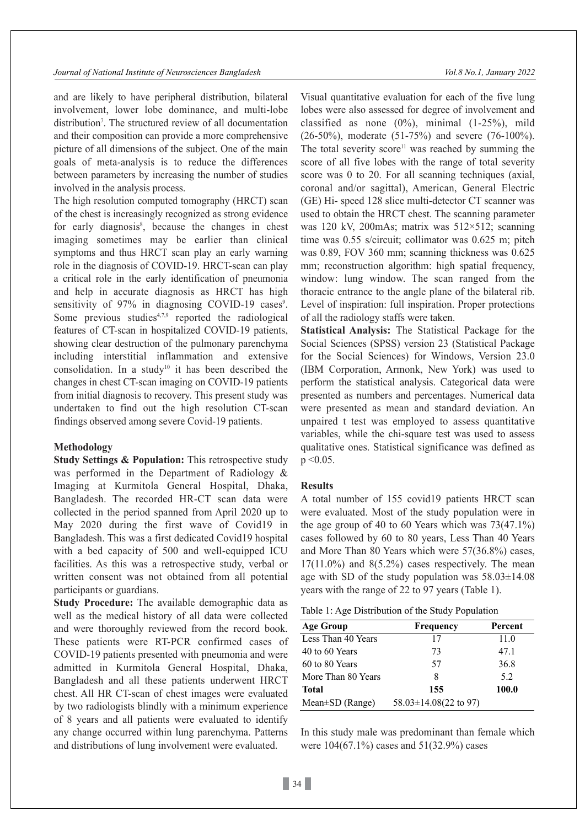and are likely to have peripheral distribution, bilateral involvement, lower lobe dominance, and multi-lobe distribution<sup>7</sup>. The structured review of all documentation and their composition can provide a more comprehensive picture of all dimensions of the subject. One of the main goals of meta-analysis is to reduce the differences between parameters by increasing the number of studies involved in the analysis process.

The high resolution computed tomography (HRCT) scan of the chest is increasingly recognized as strong evidence for early diagnosis<sup>8</sup>, because the changes in chest imaging sometimes may be earlier than clinical symptoms and thus HRCT scan play an early warning role in the diagnosis of COVID-19. HRCT-scan can play a critical role in the early identification of pneumonia and help in accurate diagnosis as HRCT has high sensitivity of 97% in diagnosing COVID-19 cases<sup>9</sup>. Some previous studies $4,7,9$  reported the radiological features of CT-scan in hospitalized COVID-19 patients, showing clear destruction of the pulmonary parenchyma including interstitial inflammation and extensive consolidation. In a study<sup>10</sup> it has been described the changes in chest CT-scan imaging on COVID-19 patients from initial diagnosis to recovery. This present study was undertaken to find out the high resolution CT-scan findings observed among severe Covid-19 patients.

## **Methodology**

**Study Settings & Population:** This retrospective study was performed in the Department of Radiology & Imaging at Kurmitola General Hospital, Dhaka, Bangladesh. The recorded HR-CT scan data were collected in the period spanned from April 2020 up to May 2020 during the first wave of Covid19 in Bangladesh. This was a first dedicated Covid19 hospital with a bed capacity of 500 and well-equipped ICU facilities. As this was a retrospective study, verbal or written consent was not obtained from all potential participants or guardians.

**Study Procedure:** The available demographic data as well as the medical history of all data were collected and were thoroughly reviewed from the record book. These patients were RT-PCR confirmed cases of COVID-19 patients presented with pneumonia and were admitted in Kurmitola General Hospital, Dhaka, Bangladesh and all these patients underwent HRCT chest. All HR CT-scan of chest images were evaluated by two radiologists blindly with a minimum experience of 8 years and all patients were evaluated to identify any change occurred within lung parenchyma. Patterns and distributions of lung involvement were evaluated.

Visual quantitative evaluation for each of the five lung lobes were also assessed for degree of involvement and classified as none  $(0\%)$ , minimal  $(1-25\%)$ , mild (26-50%), moderate (51-75%) and severe (76-100%). The total severity score<sup>11</sup> was reached by summing the score of all five lobes with the range of total severity score was 0 to 20. For all scanning techniques (axial, coronal and/or sagittal), American, General Electric (GE) Hi- speed 128 slice multi-detector CT scanner was used to obtain the HRCT chest. The scanning parameter was 120 kV, 200mAs; matrix was 512×512; scanning time was 0.55 s/circuit; collimator was 0.625 m; pitch was 0.89, FOV 360 mm; scanning thickness was 0.625 mm; reconstruction algorithm: high spatial frequency, window: lung window. The scan ranged from the thoracic entrance to the angle plane of the bilateral rib. Level of inspiration: full inspiration. Proper protections of all the radiology staffs were taken.

**Statistical Analysis:** The Statistical Package for the Social Sciences (SPSS) version 23 (Statistical Package for the Social Sciences) for Windows, Version 23.0 (IBM Corporation, Armonk, New York) was used to perform the statistical analysis. Categorical data were presented as numbers and percentages. Numerical data were presented as mean and standard deviation. An unpaired t test was employed to assess quantitative variables, while the chi-square test was used to assess qualitative ones. Statistical significance was defined as  $p \le 0.05$ .

#### **Results**

A total number of 155 covid19 patients HRCT scan were evaluated. Most of the study population were in the age group of 40 to 60 Years which was 73(47.1%) cases followed by 60 to 80 years, Less Than 40 Years and More Than 80 Years which were 57(36.8%) cases,  $17(11.0\%)$  and  $8(5.2\%)$  cases respectively. The mean age with SD of the study population was  $58.03 \pm 14.08$ years with the range of 22 to 97 years (Table 1).

| $\sim$ $\sim$                                     |           |         |
|---------------------------------------------------|-----------|---------|
| <b>Age Group</b>                                  | Frequency | Percent |
| Less Than 40 Years                                | 17        | 11.0    |
| 40 to 60 Years                                    |           |         |
| 60 to 80 Years                                    |           |         |
| More Than 80 Years                                |           |         |
| <b>Total</b>                                      | 155       | 100.0   |
| Mean $\pm$ SD (Range) 58.03 $\pm$ 14.08(22 to 97) |           |         |

In this study male was predominant than female which were 104(67.1%) cases and 51(32.9%) cases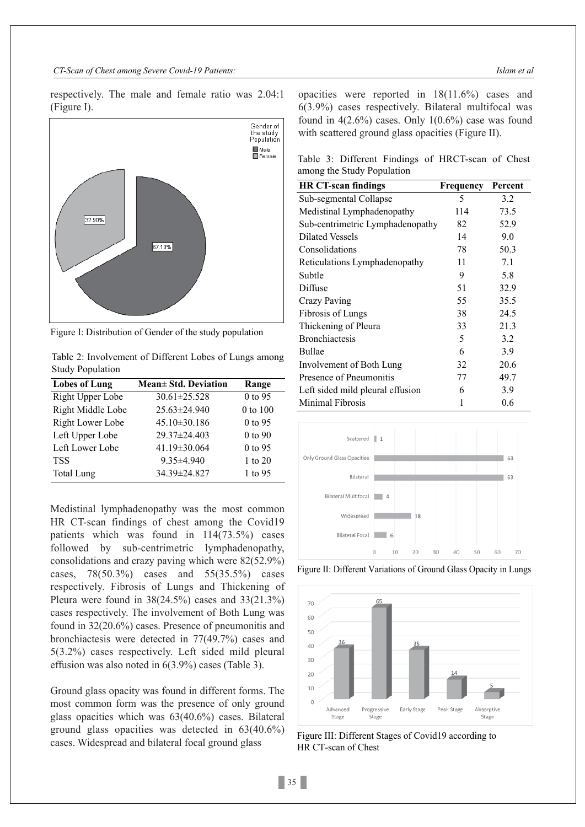*CT-Scan of Chest among Severe Covid-19 Patients: Islam et al*

respectively. The male and female ratio was 2.04:1 (Figure I).



Figure I: Distribution of Gender of the study population

Table 2: Involvement of Different Lobes of Lungs among Study Population

| <b>Lobes of Lung</b> | Mean± Std. Deviation | Range     |
|----------------------|----------------------|-----------|
| Right Upper Lobe     | $30.61 \pm 25.528$   | 0 to 95   |
| Right Middle Lobe    | 25.63±24.940         | 0 to 100  |
| Right Lower Lobe     | $45.10 \pm 30.186$   | 0 to 95   |
| Left Upper Lobe      | 29.37±24.403         | 0 to 90   |
| Left Lower Lobe      | 41.19±30.064         | 0 to 95   |
| <b>TSS</b>           | $9.35 \pm 4.940$     | 1 to $20$ |
| <b>Total Lung</b>    | 34.39±24.827         | 1 to 95   |

Medistinal lymphadenopathy was the most common HR CT-scan findings of chest among the Covid19 patients which was found in 114(73.5%) cases followed by sub-centrimetric lymphadenopathy, consolidations and crazy paving which were 82(52.9%) cases, 78(50.3%) cases and 55(35.5%) cases respectively. Fibrosis of Lungs and Thickening of Pleura were found in  $38(24.5%)$  cases and  $33(21.3%)$ cases respectively. The involvement of Both Lung was found in 32(20.6%) cases. Presence of pneumonitis and bronchiactesis were detected in 77(49.7%) cases and 5(3.2%) cases respectively. Left sided mild pleural effusion was also noted in 6(3.9%) cases (Table 3).

Ground glass opacity was found in different forms. The most common form was the presence of only ground glass opacities which was 63(40.6%) cases. Bilateral ground glass opacities was detected in 63(40.6%) cases. Widespread and bilateral focal ground glass

opacities were reported in 18(11.6%) cases and 6(3.9%) cases respectively. Bilateral multifocal was found in  $4(2.6\%)$  cases. Only  $1(0.6\%)$  case was found with scattered ground glass opacities (Figure II).

Table 3: Different Findings of HRCT-scan of Chest among the Study Population

| <b>HR CT-scan findings</b>       | Frequency | Percent |
|----------------------------------|-----------|---------|
| Sub-segmental Collapse           | 5         | 3.2     |
| Medistinal Lymphadenopathy       | 114       | 73.5    |
| Sub-centrimetric Lymphadenopathy | 82        | 52.9    |
| <b>Dilated Vessels</b>           | 14        | 9.0     |
| Consolidations                   | 78        | 50.3    |
| Reticulations Lymphadenopathy    | 11        | 7.1     |
| Subtle                           | 9         | 5.8     |
| Diffuse                          | 51        | 32.9    |
| Crazy Paving                     | 55        | 35.5    |
| Fibrosis of Lungs                | 38        | 24.5    |
| Thickening of Pleura             | 33        | 21.3    |
| <b>Bronchiactesis</b>            | 5         | 3.2     |
| Bullae                           | 6         | 3.9     |
| Involvement of Both Lung         | 32        | 20.6    |
| Presence of Pneumonitis          | 77        | 49.7    |
| Left sided mild pleural effusion | 6         | 3.9     |
| Minimal Fibrosis                 | 1         | 0.6     |



Figure II: Different Variations of Ground Glass Opacity in Lungs



Figure III: Different Stages of Covid19 according to HR CT-scan of Chest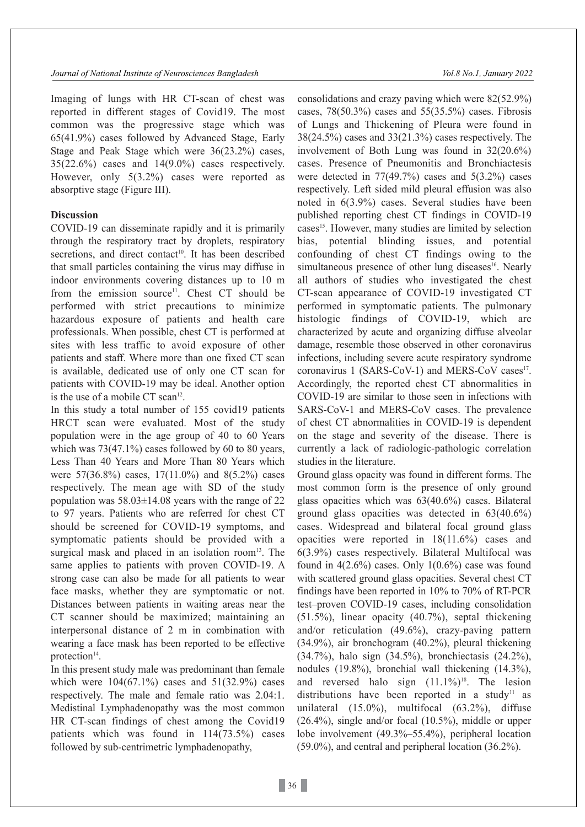Imaging of lungs with HR CT-scan of chest was reported in different stages of Covid19. The most common was the progressive stage which was 65(41.9%) cases followed by Advanced Stage, Early Stage and Peak Stage which were 36(23.2%) cases,  $35(22.6%)$  cases and  $14(9.0%)$  cases respectively. However, only 5(3.2%) cases were reported as absorptive stage (Figure III).

## **Discussion**

COVID-19 can disseminate rapidly and it is primarily through the respiratory tract by droplets, respiratory secretions, and direct contact<sup>10</sup>. It has been described that small particles containing the virus may diffuse in indoor environments covering distances up to 10 m from the emission source<sup>11</sup>. Chest CT should be performed with strict precautions to minimize hazardous exposure of patients and health care professionals. When possible, chest CT is performed at sites with less traffic to avoid exposure of other patients and staff. Where more than one fixed CT scan is available, dedicated use of only one CT scan for patients with COVID-19 may be ideal. Another option is the use of a mobile CT scan<sup>12</sup>.

In this study a total number of 155 covid19 patients HRCT scan were evaluated. Most of the study population were in the age group of 40 to 60 Years which was 73(47.1%) cases followed by 60 to 80 years, Less Than 40 Years and More Than 80 Years which were 57(36.8%) cases, 17(11.0%) and 8(5.2%) cases respectively. The mean age with SD of the study population was  $58.03 \pm 14.08$  years with the range of 22 to 97 years. Patients who are referred for chest CT should be screened for COVID-19 symptoms, and symptomatic patients should be provided with a surgical mask and placed in an isolation room $13$ . The same applies to patients with proven COVID-19. A strong case can also be made for all patients to wear face masks, whether they are symptomatic or not. Distances between patients in waiting areas near the CT scanner should be maximized; maintaining an interpersonal distance of 2 m in combination with wearing a face mask has been reported to be effective protection<sup>14</sup>.

In this present study male was predominant than female which were  $104(67.1\%)$  cases and  $51(32.9\%)$  cases respectively. The male and female ratio was 2.04:1. Medistinal Lymphadenopathy was the most common HR CT-scan findings of chest among the Covid19 patients which was found in 114(73.5%) cases followed by sub-centrimetric lymphadenopathy,

consolidations and crazy paving which were 82(52.9%) cases, 78(50.3%) cases and 55(35.5%) cases. Fibrosis of Lungs and Thickening of Pleura were found in 38(24.5%) cases and 33(21.3%) cases respectively. The involvement of Both Lung was found in 32(20.6%) cases. Presence of Pneumonitis and Bronchiactesis were detected in 77(49.7%) cases and 5(3.2%) cases respectively. Left sided mild pleural effusion was also noted in 6(3.9%) cases. Several studies have been published reporting chest CT findings in COVID-19 cases<sup>15</sup>. However, many studies are limited by selection bias, potential blinding issues, and potential confounding of chest CT findings owing to the simultaneous presence of other lung diseases<sup>16</sup>. Nearly all authors of studies who investigated the chest CT-scan appearance of COVID-19 investigated CT performed in symptomatic patients. The pulmonary histologic findings of COVID-19, which are characterized by acute and organizing diffuse alveolar damage, resemble those observed in other coronavirus infections, including severe acute respiratory syndrome coronavirus 1 (SARS-CoV-1) and MERS-CoV cases $17$ . Accordingly, the reported chest CT abnormalities in COVID-19 are similar to those seen in infections with SARS-CoV-1 and MERS-CoV cases. The prevalence of chest CT abnormalities in COVID-19 is dependent on the stage and severity of the disease. There is currently a lack of radiologic-pathologic correlation studies in the literature.

Ground glass opacity was found in different forms. The most common form is the presence of only ground glass opacities which was 63(40.6%) cases. Bilateral ground glass opacities was detected in 63(40.6%) cases. Widespread and bilateral focal ground glass opacities were reported in 18(11.6%) cases and 6(3.9%) cases respectively. Bilateral Multifocal was found in  $4(2.6\%)$  cases. Only  $1(0.6\%)$  case was found with scattered ground glass opacities. Several chest CT findings have been reported in 10% to 70% of RT-PCR test–proven COVID-19 cases, including consolidation (51.5%), linear opacity (40.7%), septal thickening and/or reticulation (49.6%), crazy-paving pattern (34.9%), air bronchogram (40.2%), pleural thickening (34.7%), halo sign (34.5%), bronchiectasis (24.2%), nodules (19.8%), bronchial wall thickening (14.3%), and reversed halo sign (11.1%) 18. The lesion distributions have been reported in a study<sup>11</sup> as unilateral (15.0%), multifocal (63.2%), diffuse (26.4%), single and/or focal (10.5%), middle or upper lobe involvement (49.3%–55.4%), peripheral location (59.0%), and central and peripheral location (36.2%).